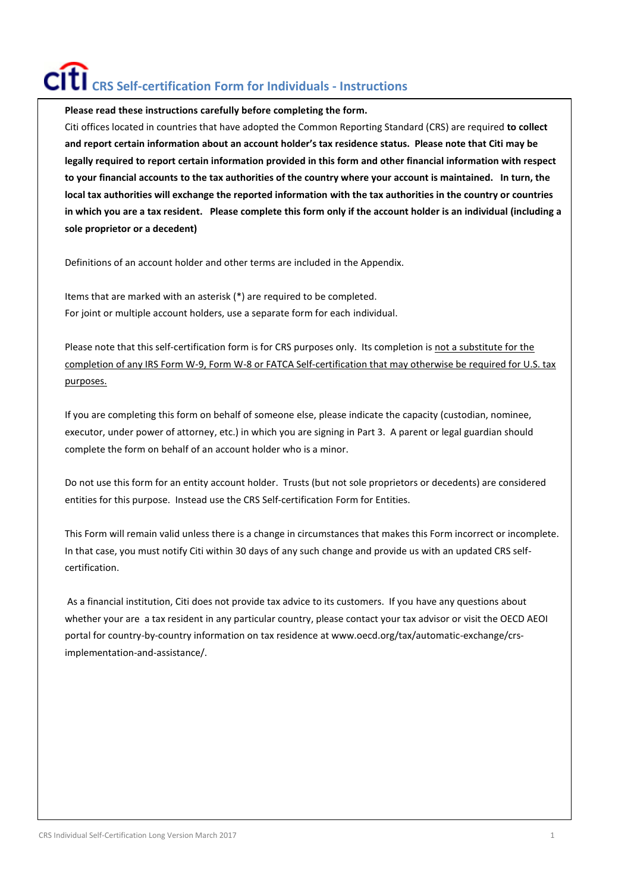# **CRS Self-certification Form for Individuals - Instructions**

**Please read these instructions carefully before completing the form.**

Citi offices located in countries that have adopted the Common Reporting Standard (CRS) are required **to collect and report certain information about an account holder's tax residence status. Please note that Citi may be legally required to report certain information provided in this form and other financial information with respect to your financial accounts to the tax authorities of the country where your account is maintained. In turn, the local tax authorities will exchange the reported information with the tax authorities in the country or countries in which you are a tax resident. Please complete this form only if the account holder is an individual (including a sole proprietor or a decedent)**

Definitions of an account holder and other terms are included in the Appendix.

Items that are marked with an asterisk (\*) are required to be completed. For joint or multiple account holders, use a separate form for each individual.

Please note that this self-certification form is for CRS purposes only. Its completion is not a substitute for the completion of any IRS Form W-9, Form W-8 or FATCA Self-certification that may otherwise be required for U.S. tax purposes.

If you are completing this form on behalf of someone else, please indicate the capacity (custodian, nominee, executor, under power of attorney, etc.) in which you are signing in Part 3. A parent or legal guardian should complete the form on behalf of an account holder who is a minor.

Do not use this form for an entity account holder. Trusts (but not sole proprietors or decedents) are considered entities for this purpose. Instead use the CRS Self-certification Form for Entities.

This Form will remain valid unless there is a change in circumstances that makes this Form incorrect or incomplete. In that case, you must notify Citi within 30 days of any such change and provide us with an updated CRS selfcertification.

As a financial institution, Citi does not provide tax advice to its customers. If you have any questions about whether your are a tax resident in any particular country, please contact your tax advisor or visit the OECD AEOI portal for country-by-country information on tax residence at www.oecd.org/tax/automatic-exchange/crsimplementation-and-assistance/.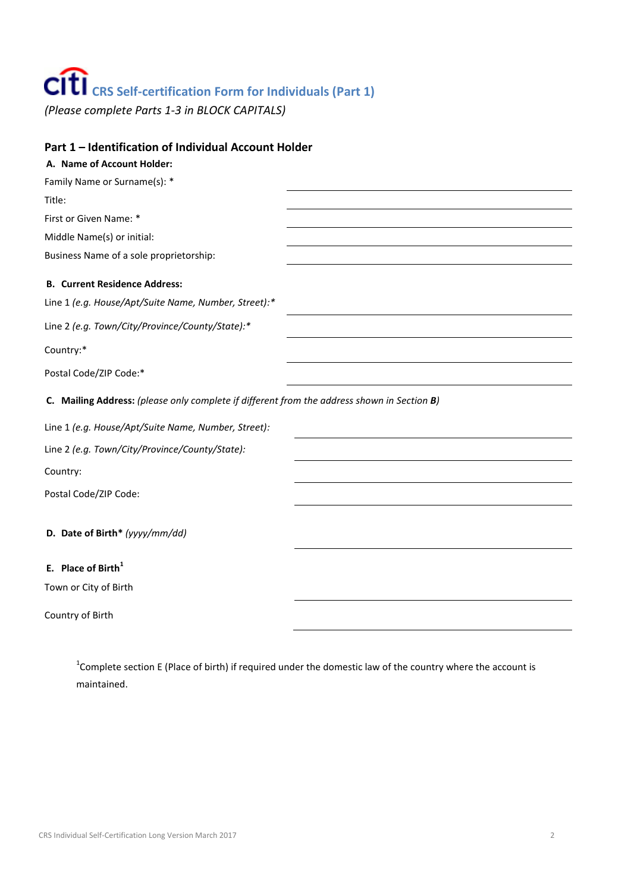# **CRS Self-certification Form for Individuals (Part 1)**

*(Please complete Parts 1-3 in BLOCK CAPITALS)*

| Part 1 - Identification of Individual Account Holder                                        |  |  |
|---------------------------------------------------------------------------------------------|--|--|
| A. Name of Account Holder:                                                                  |  |  |
| Family Name or Surname(s): *                                                                |  |  |
| Title:                                                                                      |  |  |
| First or Given Name: *                                                                      |  |  |
| Middle Name(s) or initial:                                                                  |  |  |
| Business Name of a sole proprietorship:                                                     |  |  |
| <b>B. Current Residence Address:</b>                                                        |  |  |
| Line 1 (e.g. House/Apt/Suite Name, Number, Street):*                                        |  |  |
| Line 2 (e.g. Town/City/Province/County/State):*                                             |  |  |
| Country:*                                                                                   |  |  |
| Postal Code/ZIP Code:*                                                                      |  |  |
| C. Mailing Address: (please only complete if different from the address shown in Section B) |  |  |
| Line 1 (e.g. House/Apt/Suite Name, Number, Street):                                         |  |  |
| Line 2 (e.g. Town/City/Province/County/State):                                              |  |  |
| Country:                                                                                    |  |  |
| Postal Code/ZIP Code:                                                                       |  |  |
| D. Date of Birth* (yyyy/mm/dd)                                                              |  |  |
| E. Place of Birth <sup>1</sup>                                                              |  |  |
| Town or City of Birth                                                                       |  |  |
|                                                                                             |  |  |

Country of Birth

 $1$ Complete section E (Place of birth) if required under the domestic law of the country where the account is maintained.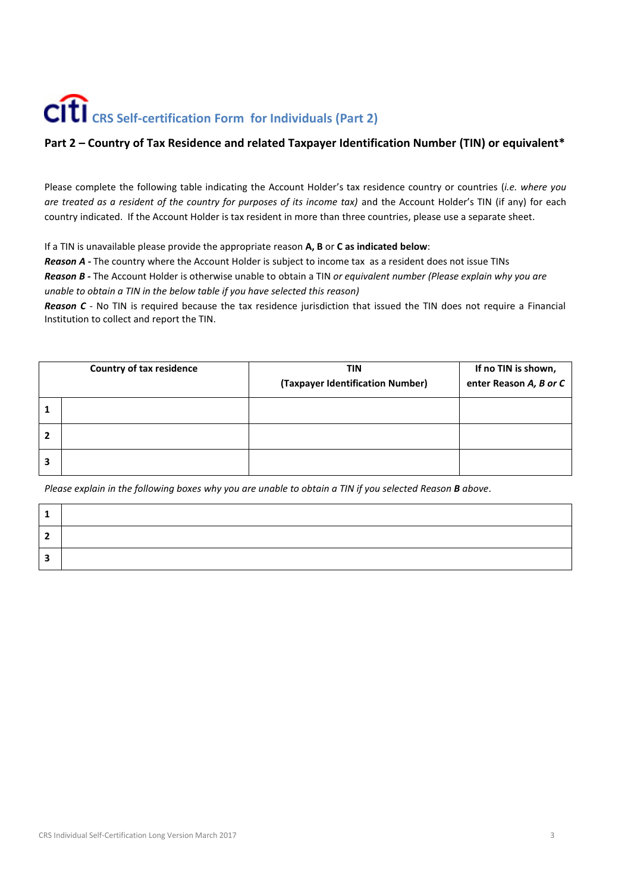### **CRS Self-certification Form for Individuals (Part 2)**

#### **Part 2 – Country of Tax Residence and related Taxpayer Identification Number (TIN) or equivalent\***

Please complete the following table indicating the Account Holder's tax residence country or countries (*i.e. where you are treated as a resident of the country for purposes of its income tax)* and the Account Holder's TIN (if any) for each country indicated. If the Account Holder is tax resident in more than three countries, please use a separate sheet.

If a TIN is unavailable please provide the appropriate reason **A, B** or **C as indicated below**:

*Reason A -* The country where the Account Holder is subject to income tax as a resident does not issue TINs *Reason B -* The Account Holder is otherwise unable to obtain a TIN *or equivalent number (Please explain why you are unable to obtain a TIN in the below table if you have selected this reason)*

*Reason C -* No TIN is required because the tax residence jurisdiction that issued the TIN does not require a Financial Institution to collect and report the TIN.

| <b>Country of tax residence</b> | TIN<br>(Taxpayer Identification Number) | If no TIN is shown,<br>enter Reason A, B or C |
|---------------------------------|-----------------------------------------|-----------------------------------------------|
|                                 |                                         |                                               |
|                                 |                                         |                                               |
|                                 |                                         |                                               |

*Please explain in the following boxes why you are unable to obtain a TIN if you selected Reason B above*.

| - |  |
|---|--|
|   |  |
|   |  |

 $\mathsf{r}$ 

 $\top$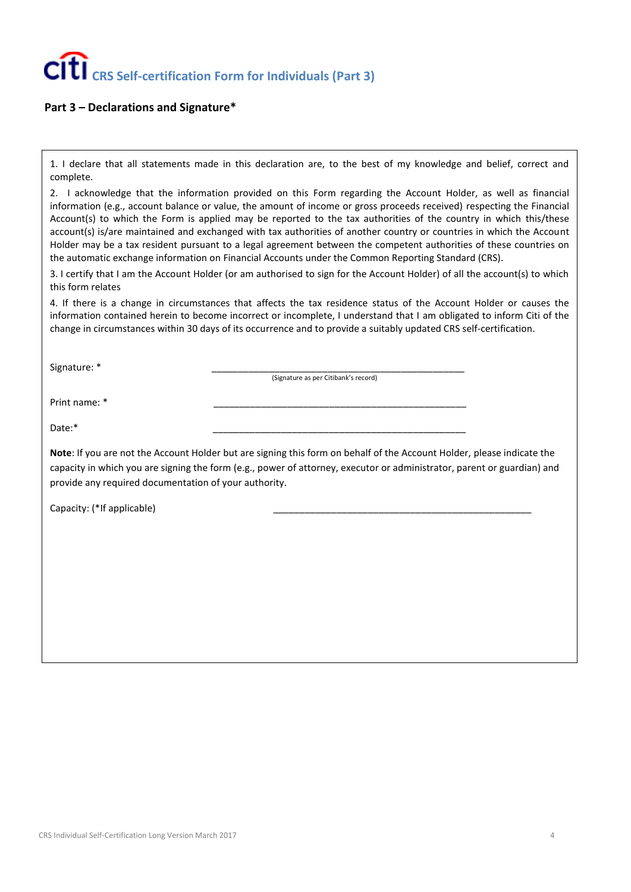#### **Part 3 – Declarations and Signature\***

1. I declare that all statements made in this declaration are, to the best of my knowledge and belief, correct and complete.

2. I acknowledge that the information provided on this Form regarding the Account Holder, as well as financial information (e.g., account balance or value, the amount of income or gross proceeds received) respecting the Financial Account(s) to which the Form is applied may be reported to the tax authorities of the country in which this/these account(s) is/are maintained and exchanged with tax authorities of another country or countries in which the Account Holder may be a tax resident pursuant to a legal agreement between the competent authorities of these countries on the automatic exchange information on Financial Accounts under the Common Reporting Standard (CRS).

3. I certify that I am the Account Holder (or am authorised to sign for the Account Holder) of all the account(s) to which this form relates

4. If there is a change in circumstances that affects the tax residence status of the Account Holder or causes the information contained herein to become incorrect or incomplete, I understand that I am obligated to inform Citi of the change in circumstances within 30 days of its occurrence and to provide a suitably updated CRS self-certification.

Signature: \*

(Signature as per Citibank's record)

Print name: \* \_\_\_\_\_\_\_\_\_\_\_\_\_\_\_\_\_\_\_\_\_\_\_\_\_\_\_\_\_\_\_\_\_\_\_\_\_\_\_\_\_\_\_\_\_\_\_\_

Date:\* \_\_\_\_\_\_\_\_\_\_\_\_\_\_\_\_\_\_\_\_\_\_\_\_\_\_\_\_\_\_\_\_\_\_\_\_\_\_\_\_\_\_\_\_\_\_\_\_

**Note**: If you are not the Account Holder but are signing this form on behalf of the Account Holder, please indicate the capacity in which you are signing the form (e.g., power of attorney, executor or administrator, parent or guardian) and provide any required documentation of your authority.

Capacity: (\*If applicable)